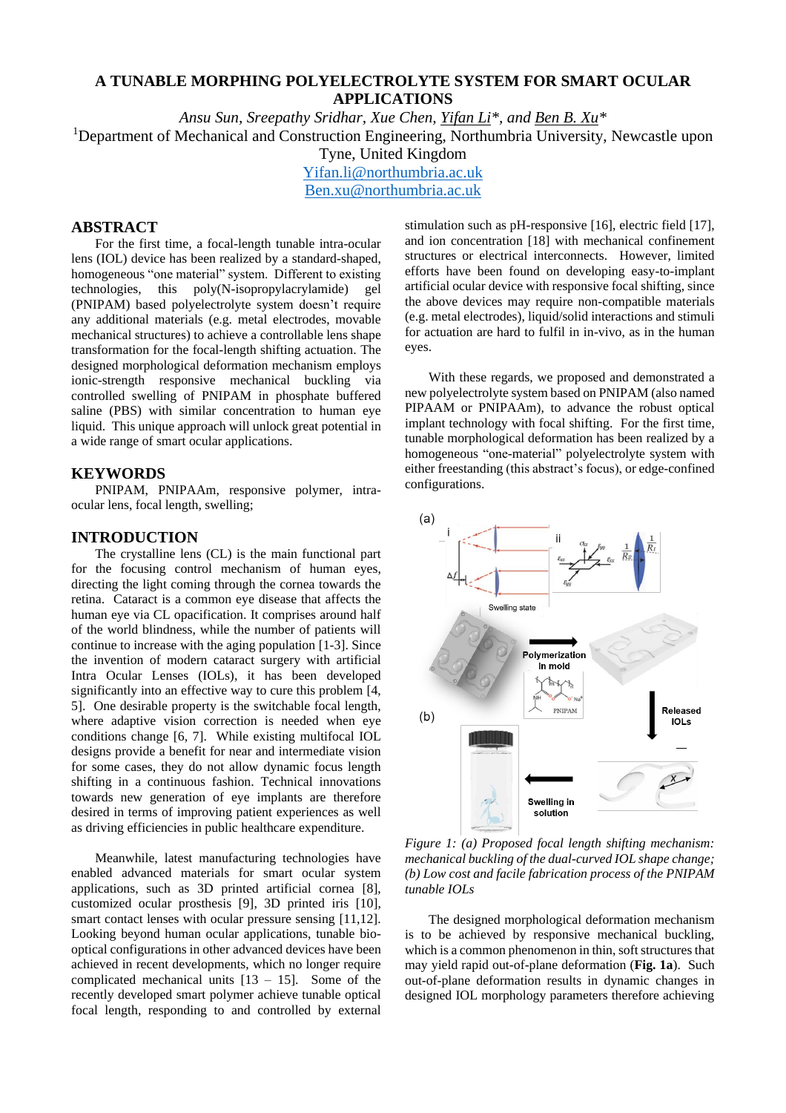# **A TUNABLE MORPHING POLYELECTROLYTE SYSTEM FOR SMART OCULAR APPLICATIONS**

*Ansu Sun, Sreepathy Sridhar, Xue Chen, Yifan Li\*, and Ben B. Xu\** <sup>1</sup>Department of Mechanical and Construction Engineering, Northumbria University, Newcastle upon Tyne, United Kingdom [Yifan.li@northumbria.ac.uk](mailto:Yifan.li@northumbria.ac.uk)

[Ben.xu@northumbria.ac.uk](mailto:Ben.xu@northumbria.ac.uk)

# **ABSTRACT**

For the first time, a focal-length tunable intra-ocular lens (IOL) device has been realized by a standard-shaped, homogeneous "one material" system. Different to existing technologies, this poly(N-isopropylacrylamide) gel (PNIPAM) based polyelectrolyte system doesn't require any additional materials (e.g. metal electrodes, movable mechanical structures) to achieve a controllable lens shape transformation for the focal-length shifting actuation. The designed morphological deformation mechanism employs ionic-strength responsive mechanical buckling via controlled swelling of PNIPAM in phosphate buffered saline (PBS) with similar concentration to human eye liquid. This unique approach will unlock great potential in a wide range of smart ocular applications.

#### **KEYWORDS**

PNIPAM, PNIPAAm, responsive polymer, intraocular lens, focal length, swelling;

#### **INTRODUCTION**

The crystalline lens (CL) is the main functional part for the focusing control mechanism of human eyes, directing the light coming through the cornea towards the retina. Cataract is a common eye disease that affects the human eye via CL opacification. It comprises around half of the world blindness, while the number of patients will continue to increase with the aging population [1-3]. Since the invention of modern cataract surgery with artificial Intra Ocular Lenses (IOLs), it has been developed significantly into an effective way to cure this problem [4, 5]. One desirable property is the switchable focal length, where adaptive vision correction is needed when eye conditions change [6, 7]. While existing multifocal IOL designs provide a benefit for near and intermediate vision for some cases, they do not allow dynamic focus length shifting in a continuous fashion. Technical innovations towards new generation of eye implants are therefore desired in terms of improving patient experiences as well as driving efficiencies in public healthcare expenditure.

Meanwhile, latest manufacturing technologies have enabled advanced materials for smart ocular system applications, such as 3D printed artificial cornea [8], customized ocular prosthesis [9], 3D printed iris [10], smart contact lenses with ocular pressure sensing [11,12]. Looking beyond human ocular applications, tunable biooptical configurations in other advanced devices have been achieved in recent developments, which no longer require complicated mechanical units  $[13 - 15]$ . Some of the recently developed smart polymer achieve tunable optical focal length, responding to and controlled by external

stimulation such as pH-responsive [16], electric field [17], and ion concentration [18] with mechanical confinement structures or electrical interconnects. However, limited efforts have been found on developing easy-to-implant artificial ocular device with responsive focal shifting, since the above devices may require non-compatible materials (e.g. metal electrodes), liquid/solid interactions and stimuli for actuation are hard to fulfil in in-vivo, as in the human eyes.

With these regards, we proposed and demonstrated a new polyelectrolyte system based on PNIPAM (also named PIPAAM or PNIPAAm), to advance the robust optical implant technology with focal shifting. For the first time, tunable morphological deformation has been realized by a homogeneous "one-material" polyelectrolyte system with either freestanding (this abstract's focus), or edge-confined configurations.



*Figure 1: (a) Proposed focal length shifting mechanism: mechanical buckling of the dual-curved IOL shape change; (b) Low cost and facile fabrication process of the PNIPAM tunable IOLs*

The designed morphological deformation mechanism is to be achieved by responsive mechanical buckling, which is a common phenomenon in thin, soft structures that may yield rapid out-of-plane deformation (**Fig. 1a**). Such out-of-plane deformation results in dynamic changes in designed IOL morphology parameters therefore achieving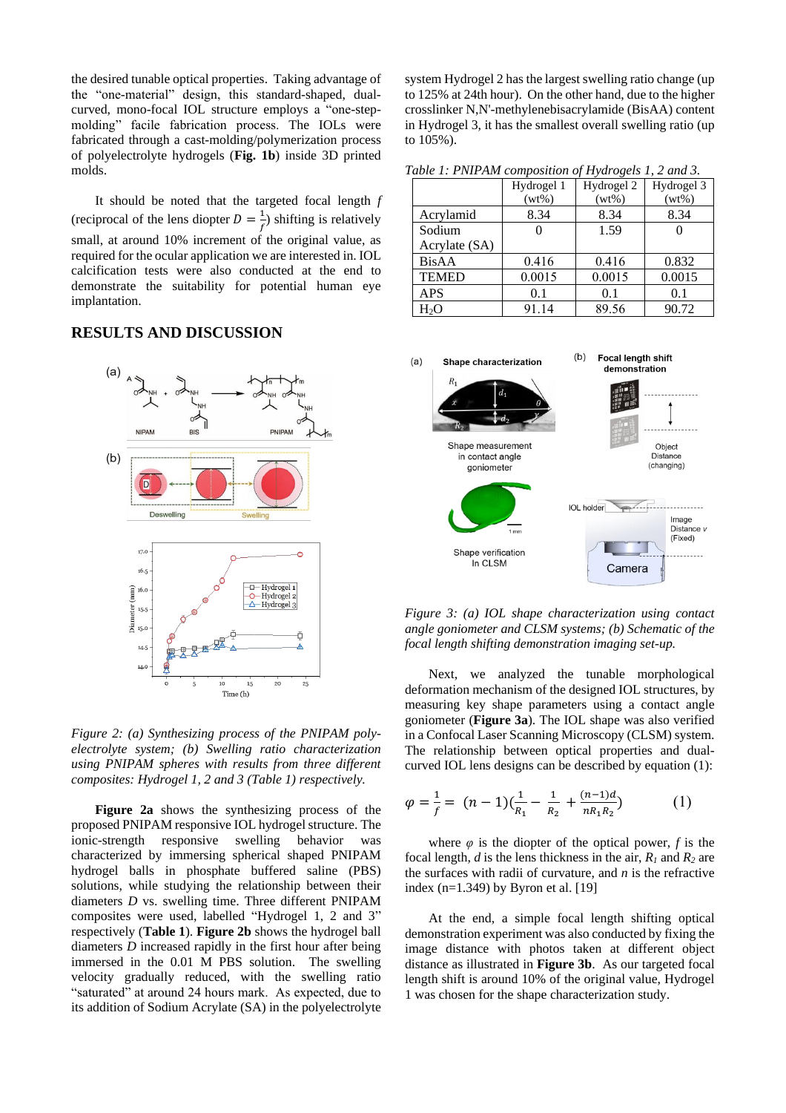the desired tunable optical properties. Taking advantage of the "one-material" design, this standard-shaped, dualcurved, mono-focal IOL structure employs a "one-stepmolding" facile fabrication process. The IOLs were fabricated through a cast-molding/polymerization process of polyelectrolyte hydrogels (**Fig. 1b**) inside 3D printed molds.

It should be noted that the targeted focal length *f* (reciprocal of the lens diopter  $D = \frac{1}{f}$  $\frac{1}{f}$ ) shifting is relatively small, at around 10% increment of the original value, as required for the ocular application we are interested in. IOL calcification tests were also conducted at the end to demonstrate the suitability for potential human eye implantation.

## **RESULTS AND DISCUSSION**



*Figure 2: (a) Synthesizing process of the PNIPAM polyelectrolyte system; (b) Swelling ratio characterization using PNIPAM spheres with results from three different composites: Hydrogel 1, 2 and 3 (Table 1) respectively.* 

**Figure 2a** shows the synthesizing process of the proposed PNIPAM responsive IOL hydrogel structure. The ionic-strength responsive swelling behavior was characterized by immersing spherical shaped PNIPAM hydrogel balls in phosphate buffered saline (PBS) solutions, while studying the relationship between their diameters *D* vs. swelling time. Three different PNIPAM composites were used, labelled "Hydrogel 1, 2 and 3" respectively (**Table 1**). **Figure 2b** shows the hydrogel ball diameters *D* increased rapidly in the first hour after being immersed in the 0.01 M PBS solution. The swelling velocity gradually reduced, with the swelling ratio "saturated" at around 24 hours mark. As expected, due to its addition of Sodium Acrylate (SA) in the polyelectrolyte

system Hydrogel 2 has the largest swelling ratio change (up to 125% at 24th hour). On the other hand, due to the higher crosslinker N,N'-methylenebisacrylamide (BisAA) content in Hydrogel 3, it has the smallest overall swelling ratio (up to 105%).

*Table 1: PNIPAM composition of Hydrogels 1, 2 and 3.*

|               | Hydrogel 1 | Hydrogel 2 | Hydrogel 3 |
|---------------|------------|------------|------------|
|               | $(wt\%)$   | $(wt\%)$   | $(wt\%)$   |
| Acrylamid     | 8.34       | 8.34       | 8.34       |
| Sodium        |            | 1.59       |            |
| Acrylate (SA) |            |            |            |
| <b>BisAA</b>  | 0.416      | 0.416      | 0.832      |
| <b>TEMED</b>  | 0.0015     | 0.0015     | 0.0015     |
| <b>APS</b>    | 0.1        | 0.1        | 0.1        |
| H2O           | 91.14      | 89.56      | 90.72      |



*Figure 3: (a) IOL shape characterization using contact angle goniometer and CLSM systems; (b) Schematic of the focal length shifting demonstration imaging set-up.* 

Next, we analyzed the tunable morphological deformation mechanism of the designed IOL structures, by measuring key shape parameters using a contact angle goniometer (**Figure 3a**). The IOL shape was also verified in a Confocal Laser Scanning Microscopy (CLSM) system. The relationship between optical properties and dualcurved IOL lens designs can be described by equation (1):

$$
\varphi = \frac{1}{f} = (n-1)\left(\frac{1}{R_1} - \frac{1}{R_2} + \frac{(n-1)d}{nR_1R_2}\right) \tag{1}
$$

where  $\varphi$  is the diopter of the optical power, *f* is the focal length, *d* is the lens thickness in the air,  $R_1$  and  $R_2$  are the surfaces with radii of curvature, and *n* is the refractive index (n=1.349) by Byron et al. [19]

At the end, a simple focal length shifting optical demonstration experiment was also conducted by fixing the image distance with photos taken at different object distance as illustrated in **Figure 3b**. As our targeted focal length shift is around 10% of the original value, Hydrogel 1 was chosen for the shape characterization study.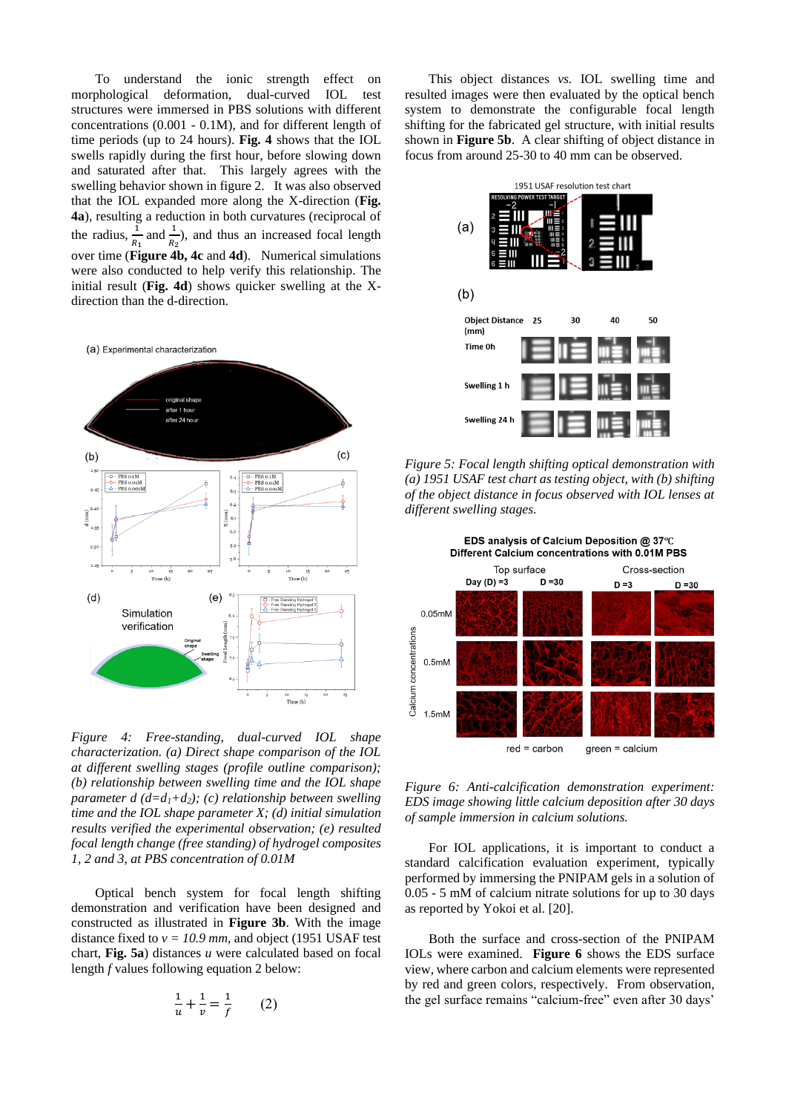To understand the ionic strength effect on morphological deformation, dual-curved IOL test structures were immersed in PBS solutions with different concentrations (0.001 - 0.1M), and for different length of time periods (up to 24 hours). **Fig. 4** shows that the IOL swells rapidly during the first hour, before slowing down and saturated after that. This largely agrees with the swelling behavior shown in figure 2. It was also observed that the IOL expanded more along the X-direction (**Fig. 4a**), resulting a reduction in both curvatures (reciprocal of the radius,  $\frac{1}{R_1}$  and  $\frac{1}{R_2}$ ), and thus an increased focal length over time (**Figure 4b, 4c** and **4d**). Numerical simulations were also conducted to help verify this relationship. The initial result (**Fig. 4d**) shows quicker swelling at the Xdirection than the d-direction.



*Figure 4: Free-standing, dual-curved IOL shape characterization. (a) Direct shape comparison of the IOL at different swelling stages (profile outline comparison); (b) relationship between swelling time and the IOL shape parameter d (d=d1+d2); (c) relationship between swelling time and the IOL shape parameter X; (d) initial simulation results verified the experimental observation; (e) resulted focal length change (free standing) of hydrogel composites 1, 2 and 3, at PBS concentration of 0.01M*

Optical bench system for focal length shifting demonstration and verification have been designed and constructed as illustrated in **Figure 3b**. With the image distance fixed to  $v = 10.9$  mm, and object (1951 USAF test chart, **Fig. 5a**) distances *u* were calculated based on focal length *f* values following equation 2 below:

$$
\frac{1}{u} + \frac{1}{v} = \frac{1}{f}
$$
 (2)

This object distances *vs.* IOL swelling time and resulted images were then evaluated by the optical bench system to demonstrate the configurable focal length shifting for the fabricated gel structure, with initial results shown in **Figure 5b**. A clear shifting of object distance in focus from around 25-30 to 40 mm can be observed.



*Figure 5: Focal length shifting optical demonstration with (a) 1951 USAF test chart as testing object, with (b) shifting of the object distance in focus observed with IOL lenses at different swelling stages.* 



*Figure 6: Anti-calcification demonstration experiment: EDS image showing little calcium deposition after 30 days of sample immersion in calcium solutions.* 

For IOL applications, it is important to conduct a standard calcification evaluation experiment, typically performed by immersing the PNIPAM gels in a solution of 0.05 - 5 mM of calcium nitrate solutions for up to 30 days as reported by Yokoi et al. [20].

Both the surface and cross-section of the PNIPAM IOLs were examined. **Figure 6** shows the EDS surface view, where carbon and calcium elements were represented by red and green colors, respectively. From observation, the gel surface remains "calcium-free" even after 30 days'